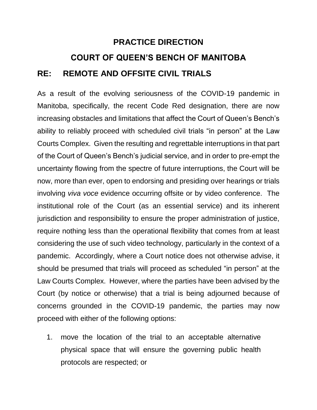## **PRACTICE DIRECTION COURT OF QUEEN'S BENCH OF MANITOBA RE: REMOTE AND OFFSITE CIVIL TRIALS**

As a result of the evolving seriousness of the COVID-19 pandemic in Manitoba, specifically, the recent Code Red designation, there are now increasing obstacles and limitations that affect the Court of Queen's Bench's ability to reliably proceed with scheduled civil trials "in person" at the Law Courts Complex. Given the resulting and regrettable interruptions in that part of the Court of Queen's Bench's judicial service, and in order to pre-empt the uncertainty flowing from the spectre of future interruptions, the Court will be now, more than ever, open to endorsing and presiding over hearings or trials involving *viva voce* evidence occurring offsite or by video conference. The institutional role of the Court (as an essential service) and its inherent jurisdiction and responsibility to ensure the proper administration of justice, require nothing less than the operational flexibility that comes from at least considering the use of such video technology, particularly in the context of a pandemic. Accordingly, where a Court notice does not otherwise advise, it should be presumed that trials will proceed as scheduled "in person" at the Law Courts Complex. However, where the parties have been advised by the Court (by notice or otherwise) that a trial is being adjourned because of concerns grounded in the COVID-19 pandemic, the parties may now proceed with either of the following options:

1. move the location of the trial to an acceptable alternative physical space that will ensure the governing public health protocols are respected; or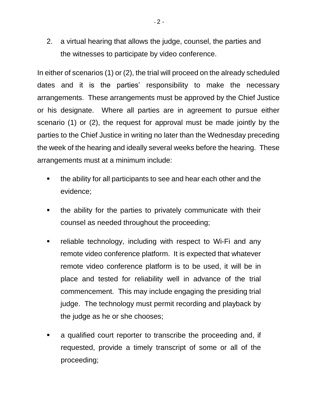2. a virtual hearing that allows the judge, counsel, the parties and the witnesses to participate by video conference.

In either of scenarios (1) or (2), the trial will proceed on the already scheduled dates and it is the parties' responsibility to make the necessary arrangements. These arrangements must be approved by the Chief Justice or his designate. Where all parties are in agreement to pursue either scenario (1) or (2), the request for approval must be made jointly by the parties to the Chief Justice in writing no later than the Wednesday preceding the week of the hearing and ideally several weeks before the hearing. These arrangements must at a minimum include:

- **the ability for all participants to see and hear each other and the** evidence;
- the ability for the parties to privately communicate with their counsel as needed throughout the proceeding;
- **Farth** reliable technology, including with respect to Wi-Fi and any remote video conference platform. It is expected that whatever remote video conference platform is to be used, it will be in place and tested for reliability well in advance of the trial commencement. This may include engaging the presiding trial judge. The technology must permit recording and playback by the judge as he or she chooses;
- a qualified court reporter to transcribe the proceeding and, if requested, provide a timely transcript of some or all of the proceeding;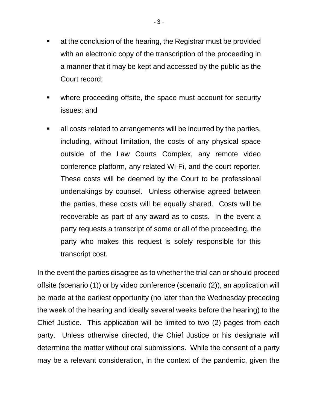- **EXECT** at the conclusion of the hearing, the Registrar must be provided with an electronic copy of the transcription of the proceeding in a manner that it may be kept and accessed by the public as the Court record;
- where proceeding offsite, the space must account for security issues; and
- all costs related to arrangements will be incurred by the parties, including, without limitation, the costs of any physical space outside of the Law Courts Complex, any remote video conference platform, any related Wi-Fi, and the court reporter. These costs will be deemed by the Court to be professional undertakings by counsel. Unless otherwise agreed between the parties, these costs will be equally shared. Costs will be recoverable as part of any award as to costs. In the event a party requests a transcript of some or all of the proceeding, the party who makes this request is solely responsible for this transcript cost.

In the event the parties disagree as to whether the trial can or should proceed offsite (scenario (1)) or by video conference (scenario (2)), an application will be made at the earliest opportunity (no later than the Wednesday preceding the week of the hearing and ideally several weeks before the hearing) to the Chief Justice. This application will be limited to two (2) pages from each party. Unless otherwise directed, the Chief Justice or his designate will determine the matter without oral submissions. While the consent of a party may be a relevant consideration, in the context of the pandemic, given the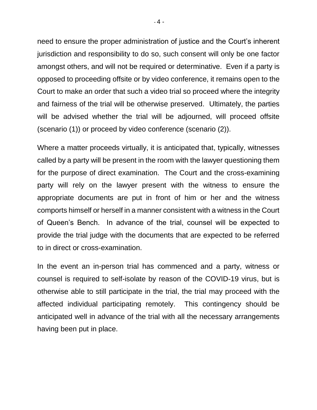need to ensure the proper administration of justice and the Court's inherent jurisdiction and responsibility to do so, such consent will only be one factor amongst others, and will not be required or determinative. Even if a party is opposed to proceeding offsite or by video conference, it remains open to the Court to make an order that such a video trial so proceed where the integrity and fairness of the trial will be otherwise preserved. Ultimately, the parties will be advised whether the trial will be adjourned, will proceed offsite (scenario (1)) or proceed by video conference (scenario (2)).

Where a matter proceeds virtually, it is anticipated that, typically, witnesses called by a party will be present in the room with the lawyer questioning them for the purpose of direct examination. The Court and the cross-examining party will rely on the lawyer present with the witness to ensure the appropriate documents are put in front of him or her and the witness comports himself or herself in a manner consistent with a witness in the Court of Queen's Bench. In advance of the trial, counsel will be expected to provide the trial judge with the documents that are expected to be referred to in direct or cross-examination.

In the event an in-person trial has commenced and a party, witness or counsel is required to self-isolate by reason of the COVID-19 virus, but is otherwise able to still participate in the trial, the trial may proceed with the affected individual participating remotely. This contingency should be anticipated well in advance of the trial with all the necessary arrangements having been put in place.